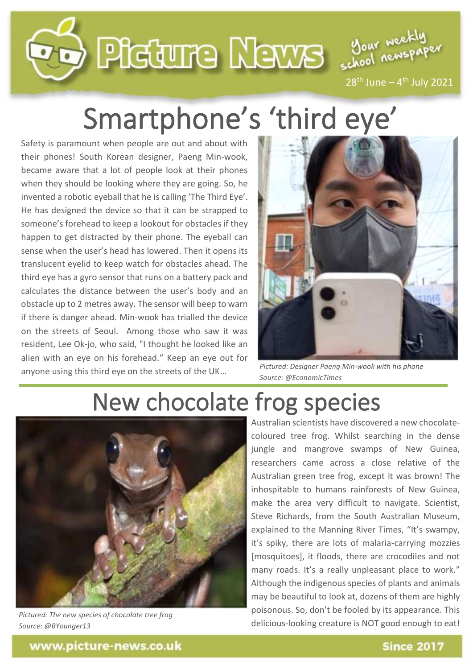

## Smartphone's 'third eye'

Safety is paramount when people are out and about with their phones! South Korean designer, Paeng Min-wook, became aware that a lot of people look at their phones when they should be looking where they are going. So, he invented a robotic eyeball that he is calling 'The Third Eye'. He has designed the device so that it can be strapped to someone's forehead to keep a lookout for obstacles if they happen to get distracted by their phone. The eyeball can sense when the user's head has lowered. Then it opens its translucent eyelid to keep watch for obstacles ahead. The third eye has a gyro sensor that runs on a battery pack and calculates the distance between the user's body and an obstacle up to 2 metres away. The sensor will beep to warn if there is danger ahead. Min-wook has trialled the device on the streets of Seoul. Among those who saw it was resident, Lee Ok-jo, who said, "I thought he looked like an alien with an eye on his forehead." Keep an eye out for anyone using this third eye on the streets of the UK…



*Pictured: Designer Paeng Min-wook with his phone Source: @EconomicTimes*

## New chocolate frog species



*Pictured: The new species of chocolate tree frog Source: @BYounger13*

Australian scientists have discovered a new chocolatecoloured tree frog. Whilst searching in the dense jungle and mangrove swamps of New Guinea, researchers came across a close relative of the Australian green tree frog, except it was brown! The inhospitable to humans rainforests of New Guinea, make the area very difficult to navigate. Scientist, Steve Richards, from the South Australian Museum, explained to the Manning River Times, "It's swampy, it's spiky, there are lots of malaria-carrying mozzies [mosquitoes], it floods, there are crocodiles and not many roads. It's a really unpleasant place to work." Although the indigenous species of plants and animals may be beautiful to look at, dozens of them are highly poisonous. So, don't be fooled by its appearance. This delicious-looking creature is NOT good enough to eat!